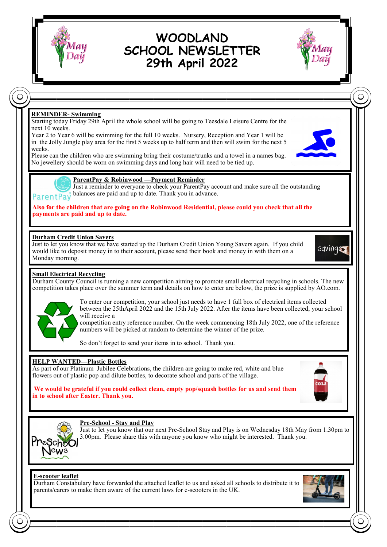

# **WOODLAND SCHOOL NEWSLETTER 29th April 2022**



## **REMINDER- Swimming**

Starting today Friday 29th April the whole school will be going to Teesdale Leisure Centre for the next 10 weeks.

Year 2 to Year 6 will be swimming for the full 10 weeks. Nursery, Reception and Year 1 will be in the Jolly Jungle play area for the first 5 weeks up to half term and then will swim for the next 5 weeks.

Please can the children who are swimming bring their costume/trunks and a towel in a names bag. No jewellery should be worn on swimming days and long hair will need to be tied up.





**ParentPay & Robinwood —Payment Reminder**

Just a reminder to everyone to check your ParentPay account and make sure all the outstanding balances are paid and up to date. Thank you in advance.

**Also for the children that are going on the Robinwood Residential, please could you check that all the payments are paid and up to date.**

### **Durham Credit Union Savers**

Just to let you know that we have started up the Durham Credit Union Young Savers again. If you child would like to deposit money in to their account, please send their book and money in with them on a Monday morning.

sqving

#### **Small Electrical Recycling**

Durham County Council is running a new competition aiming to promote small electrical recycling in schools. The new competition takes place over the summer term and details on how to enter are below, the prize is supplied by AO.com.



To enter our competition, your school just needs to have 1 full box of electrical items collected between the 25thApril 2022 and the 15th July 2022. After the items have been collected, your school will receive a

competition entry reference number. On the week commencing 18th July 2022, one of the reference numbers will be picked at random to determine the winner of the prize.

So don't forget to send your items in to school. Thank you.

#### **HELP WANTED—Plastic Bottles**

**in to school after Easter. Thank you.**

As part of our Platinum Jubilee Celebrations, the children are going to make red, white and blue flowers out of plastic pop and dilute bottles, to decorate school and parts of the village.

**We would be grateful if you could collect clean, empty pop/squash bottles for us and send them** 



#### **Pre-School - Stay and Play**

Just to let you know that our next Pre-School Stay and Play is on Wednesday 18th May from 1.30pm to 3.00pm. Please share this with anyone you know who might be interested. Thank you.

#### **E-scooter leaflet**

Durham Constabulary have forwarded the attached leaflet to us and asked all schools to distribute it to parents/carers to make them aware of the current laws for e-scooters in the UK.